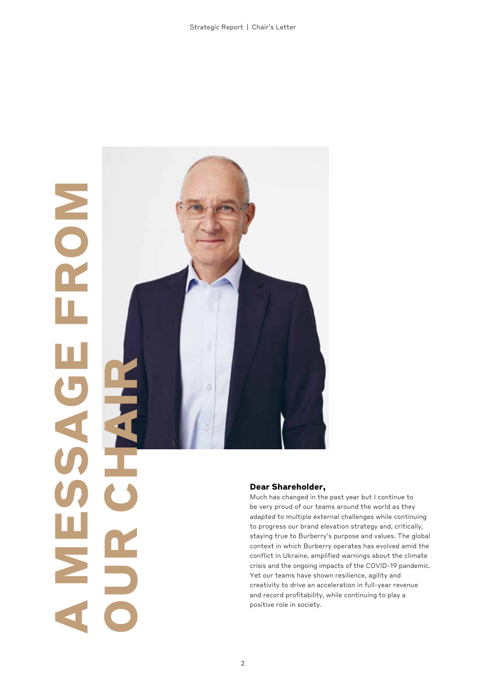**A MESSAGE FROM**  ERON **OUR CHAIR** E 5  $\bigcap$ 



## **Dear Shareholder,**

Much has changed in the past year but I continue to be very proud of our teams around the world as they adapted to multiple external challenges while continuing to progress our brand elevation strategy and, critically, staying true to Burberry's purpose and values. The global context in which Burberry operates has evolved amid the conflict in Ukraine, amplified warnings about the climate crisis and the ongoing impacts of the COVID-19 pandemic. Yet our teams have shown resilience, agility and creativity to drive an acceleration in full-year revenue and record profitability, while continuing to play a positive role in society.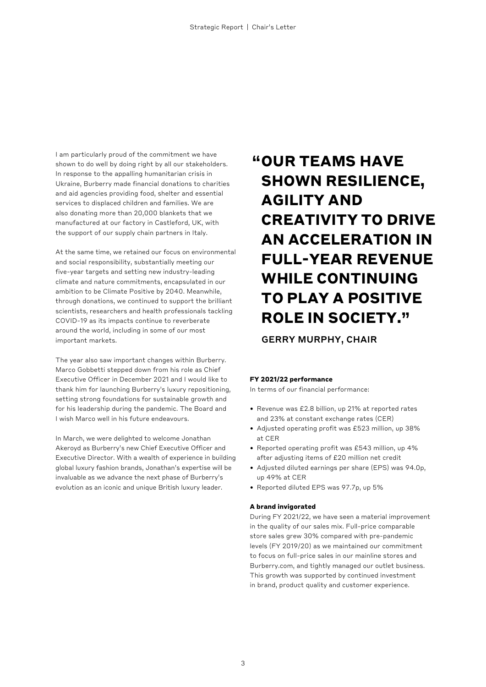I am particularly proud of the commitment we have shown to do well by doing right by all our stakeholders. In response to the appalling humanitarian crisis in Ukraine, Burberry made financial donations to charities and aid agencies providing food, shelter and essential services to displaced children and families. We are also donating more than 20,000 blankets that we manufactured at our factory in Castleford, UK, with the support of our supply chain partners in Italy.

At the same time, we retained our focus on environmental and social responsibility, substantially meeting our five-year targets and setting new industry-leading climate and nature commitments, encapsulated in our ambition to be Climate Positive by 2040. Meanwhile, through donations, we continued to support the brilliant scientists, researchers and health professionals tackling COVID-19 as its impacts continue to reverberate around the world, including in some of our most important markets.

The year also saw important changes within Burberry. Marco Gobbetti stepped down from his role as Chief Executive Officer in December 2021 and I would like to thank him for launching Burberry's luxury repositioning, setting strong foundations for sustainable growth and for his leadership during the pandemic. The Board and I wish Marco well in his future endeavours.

In March, we were delighted to welcome Jonathan Akeroyd as Burberry's new Chief Executive Officer and Executive Director. With a wealth of experience in building global luxury fashion brands, Jonathan's expertise will be invaluable as we advance the next phase of Burberry's evolution as an iconic and unique British luxury leader.

# **"OUR TEAMS HAVE SHOWN RESILIENCE, AGILITY AND CREATIVITY TO DRIVE AN ACCELERATION IN FULL-YEAR REVENUE WHILE CONTINUING TO PLAY A POSITIVE ROLE IN SOCIETY."**

GERRY MURPHY, CHAIR

## **FY 2021/22 performance**

In terms of our financial performance:

- Revenue was £2.8 billion, up 21% at reported rates and 23% at constant exchange rates (CER)
- Adjusted operating profit was £523 million, up 38% at CER
- Reported operating profit was £543 million, up 4% after adjusting items of £20 million net credit
- Adjusted diluted earnings per share (EPS) was 94.0p, up 49% at CER
- Reported diluted EPS was 97.7p, up 5%

## **A brand invigorated**

During FY 2021/22, we have seen a material improvement in the quality of our sales mix. Full-price comparable store sales grew 30% compared with pre-pandemic levels (FY 2019/20) as we maintained our commitment to focus on full-price sales in our mainline stores and Burberry.com, and tightly managed our outlet business. This growth was supported by continued investment in brand, product quality and customer experience.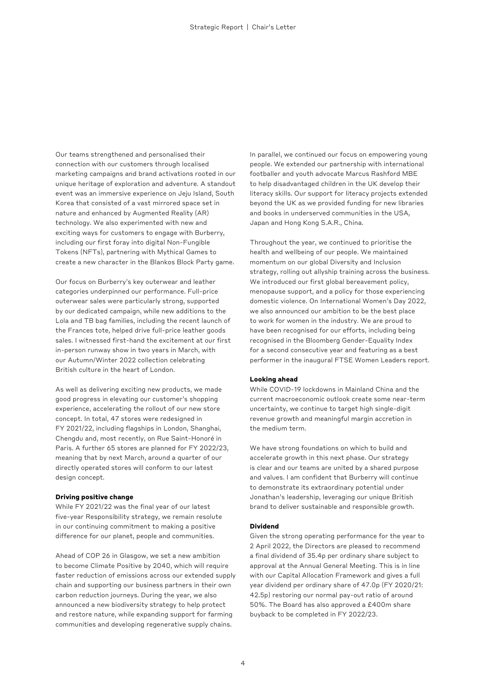Our teams strengthened and personalised their connection with our customers through localised marketing campaigns and brand activations rooted in our unique heritage of exploration and adventure. A standout event was an immersive experience on Jeju Island, South Korea that consisted of a vast mirrored space set in nature and enhanced by Augmented Reality (AR) technology. We also experimented with new and exciting ways for customers to engage with Burberry, including our first foray into digital Non-Fungible Tokens (NFTs), partnering with Mythical Games to create a new character in the Blankos Block Party game.

Our focus on Burberry's key outerwear and leather categories underpinned our performance. Full-price outerwear sales were particularly strong, supported by our dedicated campaign, while new additions to the Lola and TB bag families, including the recent launch of the Frances tote, helped drive full-price leather goods sales. I witnessed first-hand the excitement at our first in-person runway show in two years in March, with our Autumn/Winter 2022 collection celebrating British culture in the heart of London.

As well as delivering exciting new products, we made good progress in elevating our customer's shopping experience, accelerating the rollout of our new store concept. In total, 47 stores were redesigned in FY 2021/22, including flagships in London, Shanghai, Chengdu and, most recently, on Rue Saint-Honoré in Paris. A further 65 stores are planned for FY 2022/23, meaning that by next March, around a quarter of our directly operated stores will conform to our latest design concept.

### **Driving positive change**

While FY 2021/22 was the final year of our latest five-year Responsibility strategy, we remain resolute in our continuing commitment to making a positive difference for our planet, people and communities.

Ahead of COP 26 in Glasgow, we set a new ambition to become Climate Positive by 2040, which will require faster reduction of emissions across our extended supply chain and supporting our business partners in their own carbon reduction journeys. During the year, we also announced a new biodiversity strategy to help protect and restore nature, while expanding support for farming communities and developing regenerative supply chains.

In parallel, we continued our focus on empowering young people. We extended our partnership with international footballer and youth advocate Marcus Rashford MBE to help disadvantaged children in the UK develop their literacy skills. Our support for literacy projects extended beyond the UK as we provided funding for new libraries and books in underserved communities in the USA, Japan and Hong Kong S.A.R., China.

Throughout the year, we continued to prioritise the health and wellbeing of our people. We maintained momentum on our global Diversity and Inclusion strategy, rolling out allyship training across the business. We introduced our first global bereavement policy, menopause support, and a policy for those experiencing domestic violence. On International Women's Day 2022, we also announced our ambition to be the best place to work for women in the industry. We are proud to have been recognised for our efforts, including being recognised in the Bloomberg Gender-Equality Index for a second consecutive year and featuring as a best performer in the inaugural FTSE Women Leaders report.

#### **Looking ahead**

While COVID-19 lockdowns in Mainland China and the current macroeconomic outlook create some near-term uncertainty, we continue to target high single-digit revenue growth and meaningful margin accretion in the medium term.

We have strong foundations on which to build and accelerate growth in this next phase. Our strategy is clear and our teams are united by a shared purpose and values. I am confident that Burberry will continue to demonstrate its extraordinary potential under Jonathan's leadership, leveraging our unique British brand to deliver sustainable and responsible growth.

#### **Dividend**

Given the strong operating performance for the year to 2 April 2022, the Directors are pleased to recommend a final dividend of 35.4p per ordinary share subject to approval at the Annual General Meeting. This is in line with our Capital Allocation Framework and gives a full year dividend per ordinary share of 47.0p (FY 2020/21: 42.5p) restoring our normal pay-out ratio of around 50%. The Board has also approved a £400m share buyback to be completed in FY 2022/23.